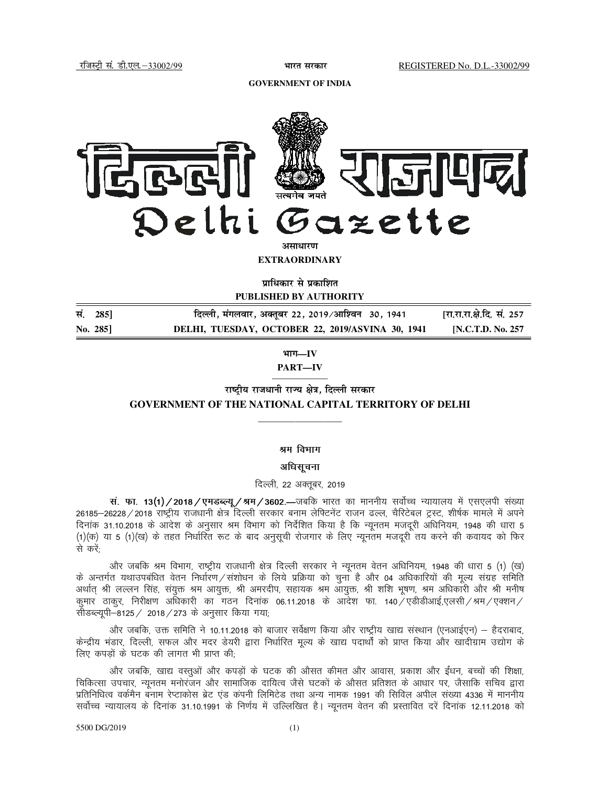**GOVERNMENT OF INDIA** 



**EXTRAORDINARY**

**प्राधिकार से प्रकाशित PUBLISHED BY AUTHORITY** 

| सं. 285] | दिल्ली, मंगलवार, अक्तूबर 22, 2019/आश्विन  30, 1941 | [रा.रा.रा.क्षे.दि. सं. 257 |
|----------|----------------------------------------------------|----------------------------|
| No. 285  | DELHI, TUESDAY, OCTOBER 22, 2019/ASVINA 30, 1941   | [N.C.T.D. No. 257]         |

**Hkkx—IV** 

**PART—IV** 

—————— **राष्टीय राजधानी राज्य क्षेत्र. दिल्ली सरकार GOVERNMENT OF THE NATIONAL CAPITAL TERRITORY OF DELHI** 

—————————

## श्रम विभाग

#### अधिसूचना

दिल्ली, 22 अक्तूबर, 2019

**स. फा. 13(1) / 2018 / एमडब्ल्यू / श्रम / 3602.—जबकि** भारत का माननीय सर्वोच्च न्यायालय में एसएलपी संख्या 26185–26228 / 2018 राष्ट्रीय राजधानी क्षेत्र दिल्ली सरकार बनाम लेफ्टिनेंट राजन ढल्ल, चैरिटेबल ट्रस्ट, शीर्षक मामले में अपने दिनांक 31.10.2018 के आदेश के अनुसार श्रम विभाग को निर्देशित किया है कि न्यूनतम मजदूरी अधिनियम, 1948 की धारा 5 (1)(क) या 5 (1)(ख) के तहत निर्धारित रूट के बाद अनुसूची रोजगार के लिए न्यूनतम मजदूरी तय करने की कवायद को फिर से करें:

ओर जबकि श्रम विभाग, राष्ट्रीय राजधानी क्षेत्र दिल्ली सरकार ने न्यूनतम वेतन अधिनियम, 1948 की धारा 5 (1) (ख) के अन्तर्गत यथाउपबंधित वेतन निर्धारण/संशोधन के लिये प्रक्रिया को चुना है और 04 अधिकारियों की मूल्य संग्रह समिति अर्थात् श्री लल्लन सिंह, संयुक्त श्रम आयुक्त, श्री अमरदीप, सहायक श्रम आयुक्त, श्री शशि भूषण, श्रम अधिकारी और श्री मनीष कुमार ठाकुर, निरीक्षण अधिकारी का गठन दिनांक 06.11.2018 के आदेश फा. 140 एडीडीआई,एलसी /श्रम / एक्शन / सीडब्ल्यूपी-8125 / 2018 / 273 के अनुसार किया गया;

ओर जबकि, उक्त समिति ने 10.11.2018 को बाजार सर्वेक्षण किया और राष्ट्रीय खाद्य संस्थान (एनआईएन) – हैदराबाद, केन्द्रीय भंडार, दिल्ली, सफल और मदर डेयरी द्वारा निर्धारित मूल्य के खाद्य पदार्थों को प्राप्त किया और खादीग्राम उद्योग के लिए कपड़ों के घटक की लागत भी प्राप्त की;

ओर जबकि, खाद्य वस्तुओं और कपड़ों के घटक की औसत कीमत और आवास, प्रकाश और ईंधन, बच्चों की शिक्षा, चिकित्सा उपचार, न्यूनतम मनोरंजन और सामाजिक दायित्व जैसे घटकों के औसत प्रतिशत के आधार पर, जैसाकि सचिव द्वारा प्रतिनिधित्व वर्कमैन बनाम रेप्टाकोस ब्रेट एंड कंपनी लिमिटेड तथा अन्य नामक 1991 की सिविल अपील संख्या 4336 में माननीय सर्वोच्च न्यायालय के दिनांक 31.10.1991 के निर्णय में उल्लिखित है। न्यूनतम वेतन की प्रस्तावित दरें दिनांक 12.11.2018 को

### 5500 DG/2019 (1)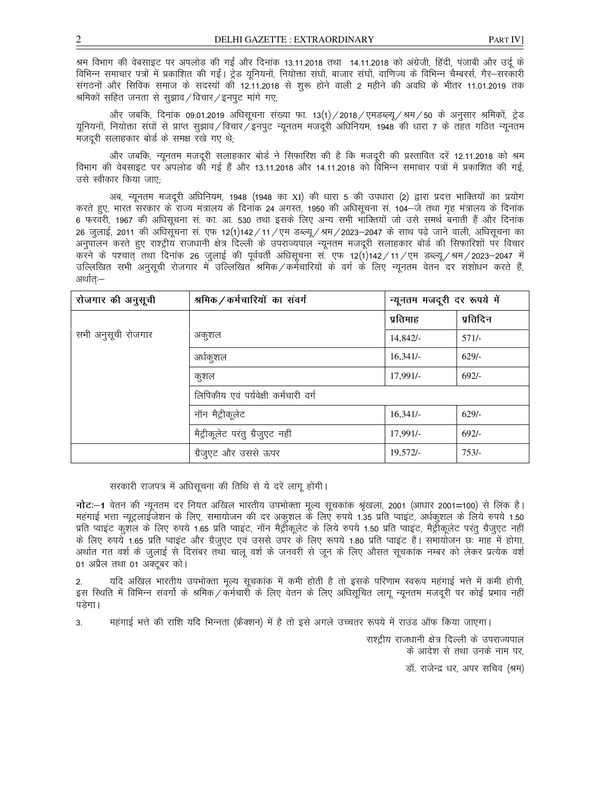श्रम विभाग की वेबसाइट पर अपलोड की गईं और दिनांक 13.11.2018 तथा 14.11.2018 को अंग्रेजी, हिंदी, पंजाबी और उर्दू के विभिन्न समाचार पत्रों में प्रकाशित की गईं। ट्रेड यूनियनों, नियोक्ता संघों, बाजार संघों, वाणिज्य के विभिन्न चैम्बरर्स, गैर-सरकारी संगठनों और सिविक समाज के सदस्यों की 12.11.2018 से शुरू होने वाली 2 महीने की अवधि के भीतर 11.01.2019 तक श्रमिकों सहित जनता से सूझाव / विचार / इनपुट मांगे गए;

और जबकि, दिनांक 09.01.2019 अधिसूचना संख्या फा. 13(1)/2018/एमडब्ल्यू/श्रम/50 के अनुसार श्रमिकों, ट्रेड यूनियनों, नियोक्ता संघों से प्राप्त सुझाव ⁄ विचार ⁄ इनपूट न्यूनतम मजदूरी अधिनियम, 1948 की धारा 7 के तहत गठित न्यूनतम मजदरी सलाहकार बोर्ड के समक्ष रखे गए थे:

ओर जबकि, न्यूनतम मजदूरी सलाहकार बोर्ड ने सिफारिश की है कि मजदूरी की प्रस्तावित दरें 12.11.2018 को श्रम विभाग की वेबसाइट पर अपलोड को गई हैं और 13.11.2018 और 14.11.2018 को विभिन्न समाचार पत्रों में प्रकाशित की गई, उसे स्वीकार किया जाए:

अब, न्यूनतम मजदूरी अधिनियम, 1948 (1948 का XI) की धारा 5 की उपधारा (2) द्वारा प्रदत्त भाक्तियों का प्रयोग करते हुए, भारत सरकार के राज्य मंत्रालय के दिनांक 24 अगस्त, 1950 की अधिसूचना सं. 104–जे तथा गृह मंत्रालय के दिनांक 6 फरवरी, 1967 की अधिसूचना सं. का. आ. 530 तथा इसके लिए अन्य सभी भाक्तियों जो उसे समर्थ बनाती हैं और दिनांक 26 जुलाई, 2011 की अधिसूचना सं. एफ 12(1)142/11/एम डब्ल्यू/श्रम/2023–2047 के साथ पढ़े जाने वाली, अधिसूचना का अनुपालन करते हुए राश्ट्रीय राजधानी क्षेत्र दिल्ली के उपराज्यपाल न्यूनतम मजदूरी सलाहकार बोर्ड की सिफारिशों पर विचार करने के पश्चात् तथा दिनांक 26 जुलाई की पूर्ववर्ती अधिसूचना सं. एफ 12(1)142/11/एम डब्ल्यू/श्रम/2023–2047 में उल्लिखित सभी अनुसूची रोजगार में उल्लिखित श्रमिक/कर्मचारियों के वर्ग के लिए न्यूनतम वेतन दर संशोधन करते हैं, अर्थात:—

| रोजगार की अनुसूची  | श्रमिक / कर्मचारियों का संवर्ग       | न्यूनतम मजदूरी दर रूपये में |          |  |
|--------------------|--------------------------------------|-----------------------------|----------|--|
|                    |                                      | प्रतिमाह                    | प्रतिदिन |  |
| सभी अनुसूची रोजगार | अकुशल                                | 14,842/                     | $571/-$  |  |
|                    | अर्धकुशल                             | 16,341/                     | $629/-$  |  |
|                    | कुशल                                 | 17,991/-                    | $692/-$  |  |
|                    | लिपिकीय एवं पर्यवेक्षी कर्मचारी वर्ग |                             |          |  |
|                    | नॉन मैट्रीकूलेट                      | 16,341/                     | $629/-$  |  |
|                    | मैट्रीकूलेट परंतु ग्रैजुएट नहीं      | 17,991/-                    | $692/-$  |  |
|                    | ग्रैजुएट और उससे ऊपर                 | $19,572/-$                  | $753/-$  |  |

## सरकारी राजपत्र में अधिसूचना की तिथि से ये दरें लागू होंगी।

नोट:—1 वेतन की न्यूनतम दर नियत अखिल भारतीय उपभोक्ता मूल्य सूचकांक श्रृंखला, 2001 (आधार 2001=100) से लिंक है। महंगाई भत्ता न्यूट्रलाईजेशन के लिए, समायोजन की दर अकुशल के लिए रुपये 1.35 प्रति प्वाइंट, अर्धकुशल के लिये रुपये 1.50 प्रति प्वाइंट कुशल के लिए रुपये 1.65 प्रति प्वाइंट, नॉन मैट्रीकूलेट के लिये रुपये 1.50 प्रति प्वाइंट, मैट्रीकूलेट परंतु ग्रैजुएट नहीं के लिए रुपये 1.65 प्रति प्वाइंट और ग्रैजुएट एवं उससे उपर के लिए रूपये 1.80 प्रति प्वाइंट है। समायोजन छः माह में होगा, अर्थात गत वर्श के जुलाई से दिसंबर तथा चालू वर्श के जनवरी से जून के लिए औसत सूचकांक नम्बर को लेकर प्रत्येक वर्श 01 अप्रैल तथा 01 अक्टूबर को।

यदि अखिल भारतीय उपभोक्ता मूल्य सूचकांक में कमी होती है तो इसके परिणाम स्वरूप महंगाई भत्ते में कमी होगी, इस स्थिति में विभिन्न संवर्गो के श्रमिक/कर्मचारी के लिए वेतन के लिए अधिसुचित लागू न्यूनतम मजदुरी पर कोई प्रभाव नहीं पडेगा।

3. महंगाई भत्ते की राशि यदि भिन्नता (फ्रैक्शन) में है तो इसे अगले उच्चतर रूपये में राउंड ऑफ किया जाएगा।

राश्ट्रीय राजधानी क्षेत्र दिल्ली के उपराज्यपाल के आदेश से तथा उनके नाम पर.

डॉ. राजेन्द्र धर, अपर सचिव (श्रम)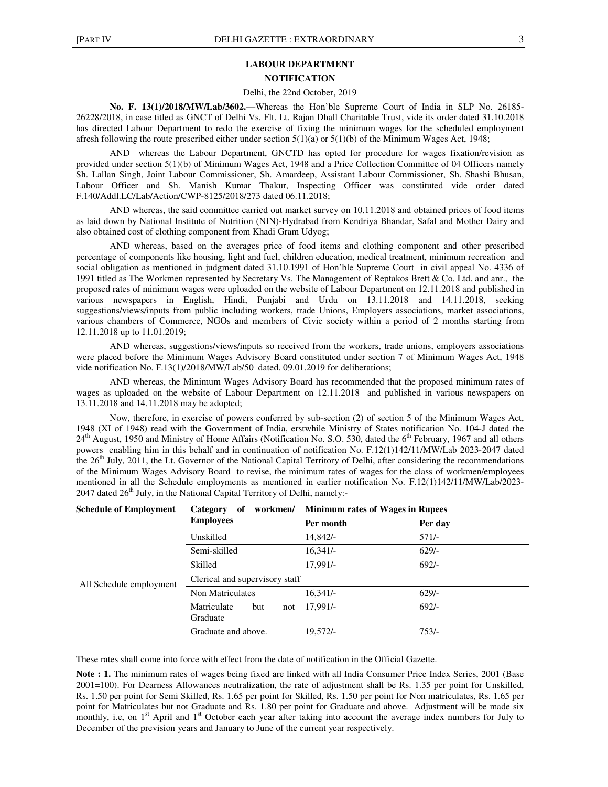# **LABOUR DEPARTMENT**

**NOTIFICATION** 

## Delhi, the 22nd October, 2019

**No. F. 13(1)/2018/MW/Lab/3602.**—Whereas the Hon'ble Supreme Court of India in SLP No. 26185- 26228/2018, in case titled as GNCT of Delhi Vs. Flt. Lt. Rajan Dhall Charitable Trust, vide its order dated 31.10.2018 has directed Labour Department to redo the exercise of fixing the minimum wages for the scheduled employment afresh following the route prescribed either under section  $5(1)(a)$  or  $5(1)(b)$  of the Minimum Wages Act, 1948;

AND whereas the Labour Department, GNCTD has opted for procedure for wages fixation/revision as provided under section 5(1)(b) of Minimum Wages Act, 1948 and a Price Collection Committee of 04 Officers namely Sh. Lallan Singh, Joint Labour Commissioner, Sh. Amardeep, Assistant Labour Commissioner, Sh. Shashi Bhusan, Labour Officer and Sh. Manish Kumar Thakur, Inspecting Officer was constituted vide order dated F.140/Addl.LC/Lab/Action/CWP-8125/2018/273 dated 06.11.2018;

AND whereas, the said committee carried out market survey on 10.11.2018 and obtained prices of food items as laid down by National Institute of Nutrition (NIN)-Hydrabad from Kendriya Bhandar, Safal and Mother Dairy and also obtained cost of clothing component from Khadi Gram Udyog;

AND whereas, based on the averages price of food items and clothing component and other prescribed percentage of components like housing, light and fuel, children education, medical treatment, minimum recreation and social obligation as mentioned in judgment dated 31.10.1991 of Hon'ble Supreme Court in civil appeal No. 4336 of 1991 titled as The Workmen represented by Secretary Vs. The Management of Reptakos Brett & Co. Ltd. and anr., the proposed rates of minimum wages were uploaded on the website of Labour Department on 12.11.2018 and published in various newspapers in English, Hindi, Punjabi and Urdu on 13.11.2018 and 14.11.2018, seeking suggestions/views/inputs from public including workers, trade Unions, Employers associations, market associations, various chambers of Commerce, NGOs and members of Civic society within a period of 2 months starting from 12.11.2018 up to 11.01.2019;

AND whereas, suggestions/views/inputs so received from the workers, trade unions, employers associations were placed before the Minimum Wages Advisory Board constituted under section 7 of Minimum Wages Act, 1948 vide notification No. F.13(1)/2018/MW/Lab/50 dated. 09.01.2019 for deliberations;

AND whereas, the Minimum Wages Advisory Board has recommended that the proposed minimum rates of wages as uploaded on the website of Labour Department on 12.11.2018 and published in various newspapers on 13.11.2018 and 14.11.2018 may be adopted;

Now, therefore, in exercise of powers conferred by sub-section (2) of section 5 of the Minimum Wages Act, 1948 (XI of 1948) read with the Government of India, erstwhile Ministry of States notification No. 104-J dated the  $24<sup>th</sup>$  August, 1950 and Ministry of Home Affairs (Notification No. S.O. 530, dated the  $6<sup>th</sup>$  February, 1967 and all others powers enabling him in this behalf and in continuation of notification No. F.12(1)142/11/MW/Lab 2023-2047 dated the 26<sup>th</sup> July, 2011, the Lt. Governor of the National Capital Territory of Delhi, after considering the recommendations of the Minimum Wages Advisory Board to revise, the minimum rates of wages for the class of workmen/employees mentioned in all the Schedule employments as mentioned in earlier notification No. F.12(1)142/11/MW/Lab/2023-  $2047$  dated  $26<sup>th</sup>$  July, in the National Capital Territory of Delhi, namely:-

| <b>Schedule of Employment</b> | workmen/<br>Category<br>of            | <b>Minimum rates of Wages in Rupees</b> |         |
|-------------------------------|---------------------------------------|-----------------------------------------|---------|
| <b>Employees</b>              |                                       | Per month                               | Per day |
|                               | Unskilled                             | $14.842/-$                              | $571/-$ |
|                               | Semi-skilled                          | $16,341/-$                              | $629/-$ |
|                               | Skilled                               | 17.991/-                                | $692/-$ |
| All Schedule employment       | Clerical and supervisory staff        |                                         |         |
|                               | Non Matriculates                      | $16,341/-$                              | $629/-$ |
|                               | Matriculate<br>but<br>not<br>Graduate | $17.991/-$                              | $692/-$ |
|                               | Graduate and above.                   | $19.572/-$                              | $753/-$ |

These rates shall come into force with effect from the date of notification in the Official Gazette.

**Note : 1.** The minimum rates of wages being fixed are linked with all India Consumer Price Index Series, 2001 (Base 2001=100). For Dearness Allowances neutralization, the rate of adjustment shall be Rs. 1.35 per point for Unskilled, Rs. 1.50 per point for Semi Skilled, Rs. 1.65 per point for Skilled, Rs. 1.50 per point for Non matriculates, Rs. 1.65 per point for Matriculates but not Graduate and Rs. 1.80 per point for Graduate and above. Adjustment will be made six monthly, i.e, on 1<sup>st</sup> April and 1<sup>st</sup> October each year after taking into account the average index numbers for July to December of the prevision years and January to June of the current year respectively.